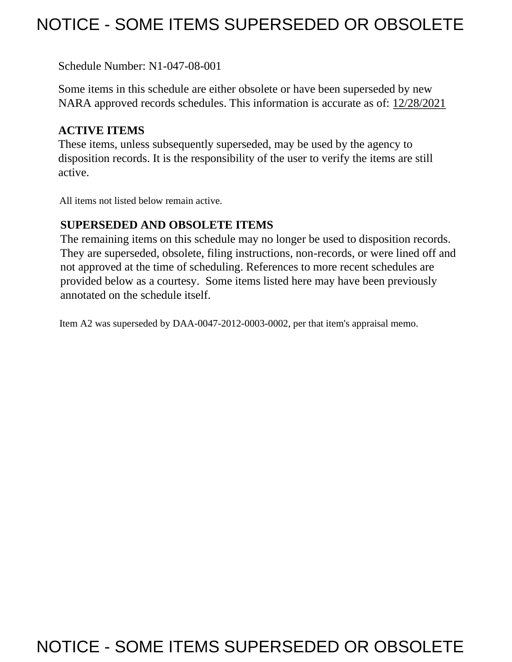# NOTICE - SOME ITEMS SUPERSEDED OR OBSOLETE

Schedule Number: N1-047-08-001

 Some items in this schedule are either obsolete or have been superseded by new NARA approved records schedules. This information is accurate as of: 12/28/2021

# **ACTIVE ITEMS**

 These items, unless subsequently superseded, may be used by the agency to disposition records. It is the responsibility of the user to verify the items are still active.

All items not listed below remain active.

# **SUPERSEDED AND OBSOLETE ITEMS**

 The remaining items on this schedule may no longer be used to disposition records. not approved at the time of scheduling. References to more recent schedules are provided below as a courtesy. Some items listed here may have been previously They are superseded, obsolete, filing instructions, non-records, or were lined off and annotated on the schedule itself.

Item A2 was superseded by DAA-0047-2012-0003-0002, per that item's appraisal memo.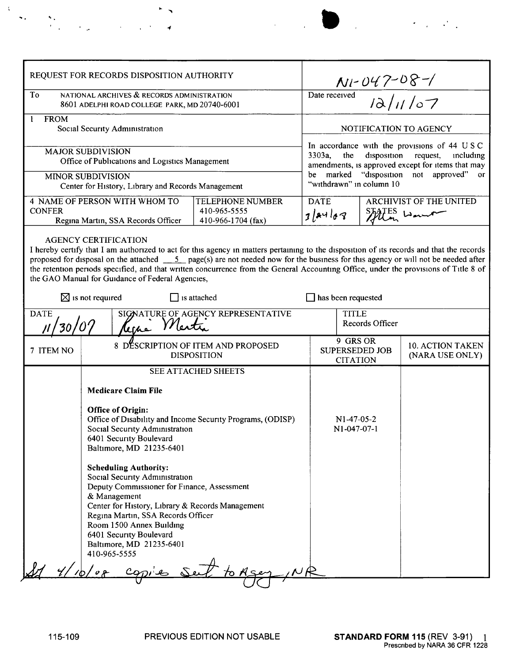| REQUEST FOR RECORDS DISPOSITION AUTHORITY                                                                                                                     |                                                                                                                                                                                                                                                                                                                                                                                                                                                                                                                     |                                                               |                                                                                                                                                                                                                                  |                                                                                                                       |                                             |
|---------------------------------------------------------------------------------------------------------------------------------------------------------------|---------------------------------------------------------------------------------------------------------------------------------------------------------------------------------------------------------------------------------------------------------------------------------------------------------------------------------------------------------------------------------------------------------------------------------------------------------------------------------------------------------------------|---------------------------------------------------------------|----------------------------------------------------------------------------------------------------------------------------------------------------------------------------------------------------------------------------------|-----------------------------------------------------------------------------------------------------------------------|---------------------------------------------|
| To<br>NATIONAL ARCHIVES & RECORDS ADMINISTRATION<br>8601 ADELPHI ROAD COLLEGE PARK, MD 20740-6001                                                             |                                                                                                                                                                                                                                                                                                                                                                                                                                                                                                                     |                                                               | $Nl - D47 - D8 - 7$<br>Date received $12/11/07$                                                                                                                                                                                  |                                                                                                                       |                                             |
| <b>FROM</b><br>$\mathbf{1}$<br>Social Security Administration                                                                                                 |                                                                                                                                                                                                                                                                                                                                                                                                                                                                                                                     |                                                               | NOTIFICATION TO AGENCY                                                                                                                                                                                                           |                                                                                                                       |                                             |
| <b>MAJOR SUBDIVISION</b><br>Office of Publications and Logistics Management<br><b>MINOR SUBDIVISION</b><br>Center for History, Library and Records Management |                                                                                                                                                                                                                                                                                                                                                                                                                                                                                                                     |                                                               | In accordance with the provisions of 44 USC<br>$3303a$ ,<br>the<br>disposition request,<br>including<br>amendments, is approved except for items that may<br>be marked "disposition not approved" or<br>"withdrawn" in column 10 |                                                                                                                       |                                             |
| 4 NAME OF PERSON WITH WHOM TO<br><b>CONFER</b><br>Regina Martin, SSA Records Officer                                                                          |                                                                                                                                                                                                                                                                                                                                                                                                                                                                                                                     | <b>TELEPHONE NUMBER</b><br>410-965-5555<br>410-966-1704 (fax) | <b>DATE</b><br>3 84 08                                                                                                                                                                                                           |                                                                                                                       | <b>ARCHIVIST OF THE UNITED</b><br>FES Wound |
| <b>DATE</b>                                                                                                                                                   | I hereby certify that I am authorized to act for this agency in matters pertaining to the disposition of its records and that the records<br>proposed for disposal on the attached $\frac{5}{2}$ page(s) are not needed now for the business for this agency or will not be needed after<br>the retention periods specified, and that written concurrence from the General Accounting Office, under the provisions of Title 8 of<br>the GAO Manual for Guidance of Federal Agencies,<br>$\boxtimes$ is not required | $\Box$ is attached<br>SIGNATURE OF AGENCY REPRESENTATIVE      | $\Box$ has been requested<br><b>TITLE</b>                                                                                                                                                                                        |                                                                                                                       |                                             |
| Kerna Mertin<br>30/07<br>7 ITEM NO                                                                                                                            |                                                                                                                                                                                                                                                                                                                                                                                                                                                                                                                     | 8 DESCRIPTION OF ITEM AND PROPOSED<br><b>DISPOSITION</b>      |                                                                                                                                                                                                                                  | Records Officer<br>9 GRS OR<br><b>10. ACTION TAKEN</b><br><b>SUPERSEDED JOB</b><br>(NARA USE ONLY)<br><b>CITATION</b> |                                             |
|                                                                                                                                                               | <b>SEE ATTACHED SHEETS</b>                                                                                                                                                                                                                                                                                                                                                                                                                                                                                          |                                                               |                                                                                                                                                                                                                                  |                                                                                                                       |                                             |
|                                                                                                                                                               | <b>Medicare Claim File</b><br><b>Office of Origin:</b><br>Office of Disability and Income Security Programs, (ODISP)<br>Social Security Administration<br>6401 Security Boulevard<br>Baltimore, MD 21235-6401                                                                                                                                                                                                                                                                                                       |                                                               | $N1-47-05-2$<br>N1-047-07-1                                                                                                                                                                                                      |                                                                                                                       |                                             |
|                                                                                                                                                               | <b>Scheduling Authority:</b><br>Social Security Administration<br>Deputy Commissioner for Finance, Assessment<br>& Management<br>Center for History, Library & Records Management<br>Regina Martin, SSA Records Officer<br>Room 1500 Annex Building<br>6401 Security Boulevard<br>Baltimore, MD 21235-6401<br>410-965-5555                                                                                                                                                                                          |                                                               |                                                                                                                                                                                                                                  |                                                                                                                       |                                             |
|                                                                                                                                                               |                                                                                                                                                                                                                                                                                                                                                                                                                                                                                                                     |                                                               |                                                                                                                                                                                                                                  |                                                                                                                       |                                             |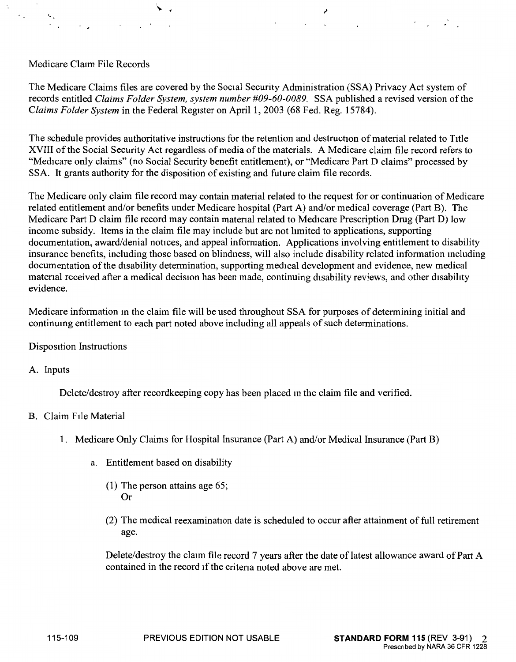### Medicare Claim File Records

 $\mathcal{A}$ 

The Medicare Claims files are covered by the Social Security Administration (SSA) Privacy Act system of records entitled *Claims Folder System, system number #09-60-0089*. SSA published a revised version of the *Claims Folder System* in the Federal Register on April 1, 2003 (68 Fed. Reg. 15784).

The schedule provides authoritative instructions for the retention and destruction of material related to Title XVIII of the Social Security Act regardless of media of the materials. A Medicare claim file record refers to "Medicare only claims" (no Social Security benefit entitlement), or "Medicare Part D claims" processed by SSA. It grants authority for the disposition of existing and future claim file records.

The Medicare only claim file record may contain material related to the request for or continuation of Medicare related entitlement and/or benefits under Medicare hospital (Part A) and/or medical coverage (Part B). The Medicare Part D claim file record may contain matenal related to Medicare Prescription Drug (Part D) low income subsidy. Items in the claim file may include but are not limited to applications, supporting documentation, award/denial notices, and appeal information. Applications involving entitlement to disability insurance benefits, including those based on blindness, will also include disability related information mcluding documentation of the disability determination, supporting medical development and evidence, new medical material received after a medical decision has been made, continuing disability reviews, and other disability evidence.

Medicare information m the claim file will be used throughout SSA for purposes of determining initial and continumg entitlement to each part noted above including all appeals of such determinations.

Disposition Instructions

A. Inputs

Delete/destroy after recordkeeping copy has been placed m the claim file and verified.

#### B. Claim File Material

- 1. Medicare Only Claims for Hospital Insurance (Part A) and/or Medical Insurance (Part B)
	- a. Entitlement based on disability
		- (1) The person attains age 65; Or
		- (2) The medical reexamination date is scheduled to occur after attainment of full retirement age.

Delete/destroy the claim file record 7 years after the date of latest allowance award of Part A contained in the record 1f the critena noted above are met.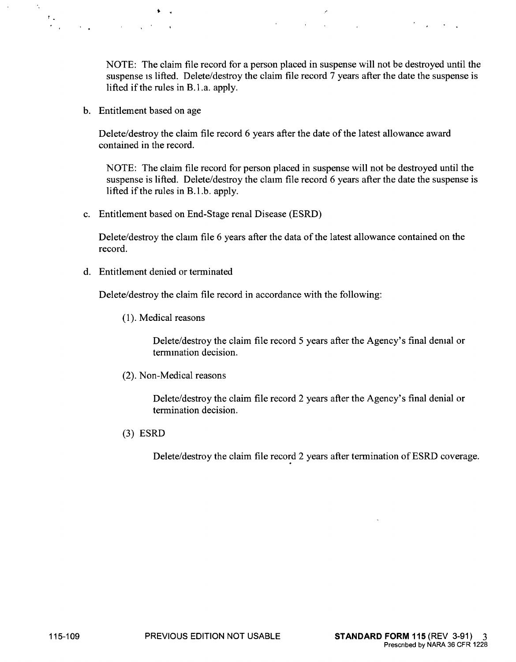NOTE: The claim file record for a person placed in suspense will not be destroyed until the suspense 1s lifted. Delete/destroy the claim file record 7 years after the date the suspense is lifted if the rules in  $B<sub>1</sub>$ . a. apply.

b. Entitlement based on age

 $\overline{\phantom{a}}$ 

 $\Gamma_{\rm{tot}}$ 

Delete/destroy the claim file record 6 years after the date of the latest allowance award contained in the record.

NOTE: The claim file record for person placed in suspense will not be destroyed until the suspense is lifted. Delete/destroy the claim file record 6 years after the date the suspense is lifted if the rules in B.1.b. apply.

c. Entitlement based on End-Stage renal Disease (ESRD)

Delete/destroy the claim file 6 years after the data of the latest allowance contained on the record.

d. Entitlement denied or terminated

Delete/destroy the claim file record in accordance with the following:

(1). Medical reasons

Delete/destroy the claim file record 5 years after the Agency's final demal or termmation decision.

(2). Non-Medical reasons

Delete/destroy the claim file record 2 years after the Agency's final denial or termination decision.

(3) ESRD

Delete/destroy the claim file record 2 years after termination of ESRD coverage.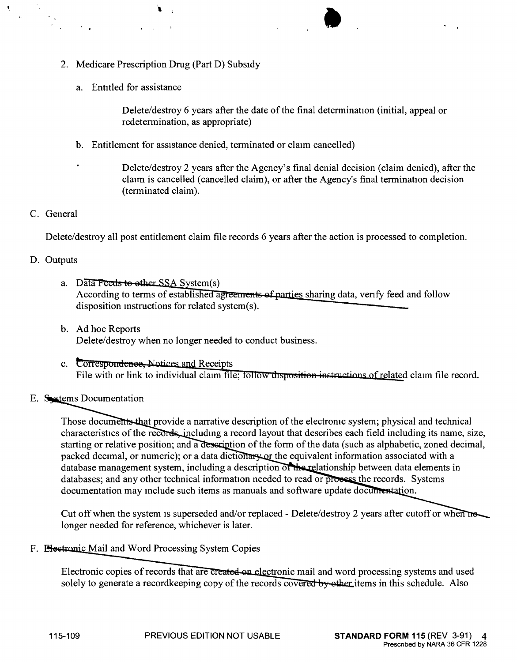- 2. Medicare Prescription Drug (Part D) Subsidy
	- a. Entitled for assistance

Delete/destroy 6 years after the date of the final determination (initial, appeal or redetermination, as appropriate)

•

- b. Entitlement for assistance denied, terminated or claim cancelled)
- Delete/destroy 2 years after the Agency's final denial decision (claim denied), after the claim is cancelled (cancelled claim), or after the Agency's final termination decision (terminated claim).

## C. General

Delete/destroy all post entitlement claim file records 6 years after the action is processed to completion.

### D. Outputs

- a. Data Feeds to other SSA System(s) According to terms of established agreements of parties sharing data, verify feed and follow disposition mstructions for related system(s).
- b. Ad hoc Reports Delete/destroy when no longer needed to conduct business.
- c. Correspondence, Notices and Receipts File with or link to individual claim file; follow disposition instructions of related claim file record.

## E. Systems Documentation

Those documents that provide a narrative description of the electronic system; physical and technical characteristics of the records, including a record layout that describes each field including its name, size, starting or relative position; and a description of the form of the data (such as alphabetic, zoned decimal, packed decimal, or numeric); or a data dictionary or the equivalent information associated with a database management system, including a description of the relationship between data elements in databases: and any other technical information needed to read or process the records. Systems documentation may include such items as manuals and software update documentation.

Cut off when the system is superseded and/or replaced - Delete/destroy 2 years after cutoff or when no longer needed for reference, whichever is later.

F. **Electronic** Mail and Word Processing System Copies

Electronic copies of records that are created on electronic mail and word processing systems and used solely to generate a recordkeeping copy of the records covered by other items in this schedule. Also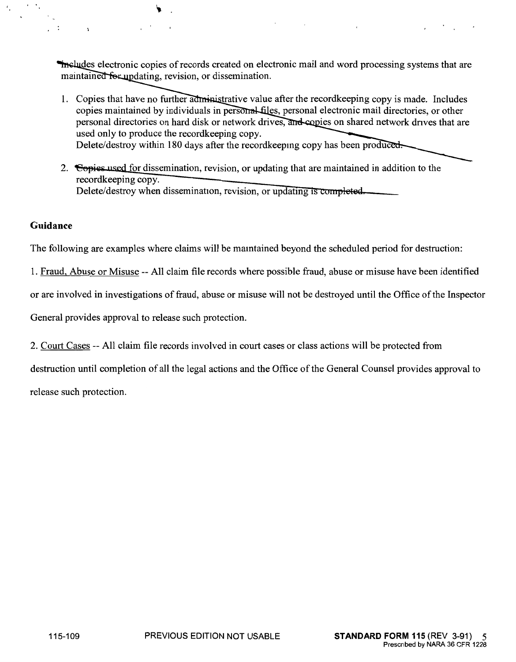includes electronic copies of records created on electronic mail and word processing systems that are maintained for updating, revision, or dissemination.

- 1. Copies that have no further administrative value after the recordkeeping copy is made. Includes copies maintained by individuals in personal files, personal electronic mail directories, or other personal directories on hard disk or network drives, and copies on shared network drives that are used only to produce the recordkeeping copy. Delete/destroy within 180 days after the recordkeeping copy has been produced.
- 2. Gopies used for dissemination, revision, or updating that are maintained in addition to the recordkeeping copy. Delete/destroy when dissemination, revision, or updating is completed.

#### **Guidance**

 $\ddot{\phantom{a}}$  .

 $\cdot$  :

 $\rightarrow$ 

The following are examples where claims will be mamtained beyond the scheduled period for destruction:

1. Fraud, Abuse or Misuse -- All claim file records where possible fraud, abuse or misuse have been identified

or are involved in investigations of fraud, abuse or misuse will not be destroyed until the Office of the Inspector

General provides approval to release such protection.

2. Court Cases -- All claim file records involved in court cases or class actions will be protected from

destruction until completion of all the legal actions and the Office of the General Counsel provides approval to

release such protection.